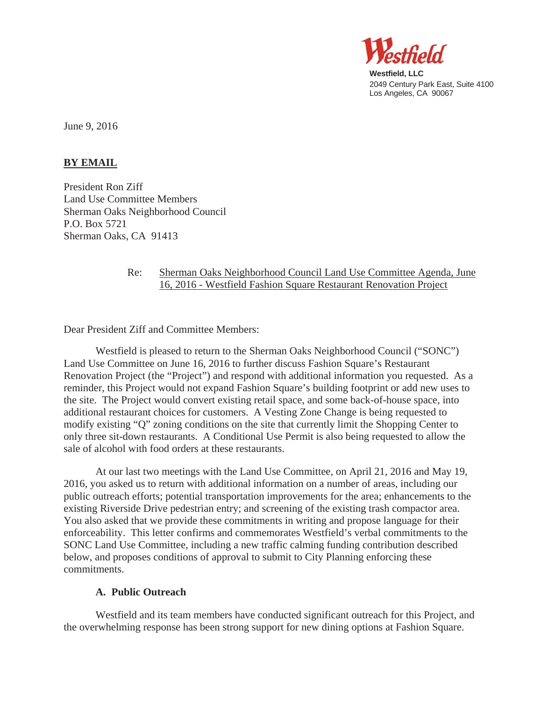

**Westfield, LLC**  2049 Century Park East, Suite 4100 Los Angeles, CA 90067

June 9, 2016

# **BY EMAIL**

President Ron Ziff Land Use Committee Members Sherman Oaks Neighborhood Council P.O. Box 5721 Sherman Oaks, CA 91413

# Re: Sherman Oaks Neighborhood Council Land Use Committee Agenda, June 16, 2016 - Westfield Fashion Square Restaurant Renovation Project

Dear President Ziff and Committee Members:

Westfield is pleased to return to the Sherman Oaks Neighborhood Council ("SONC") Land Use Committee on June 16, 2016 to further discuss Fashion Square's Restaurant Renovation Project (the "Project") and respond with additional information you requested. As a reminder, this Project would not expand Fashion Square's building footprint or add new uses to the site. The Project would convert existing retail space, and some back-of-house space, into additional restaurant choices for customers. A Vesting Zone Change is being requested to modify existing "Q" zoning conditions on the site that currently limit the Shopping Center to only three sit-down restaurants. A Conditional Use Permit is also being requested to allow the sale of alcohol with food orders at these restaurants.

At our last two meetings with the Land Use Committee, on April 21, 2016 and May 19, 2016, you asked us to return with additional information on a number of areas, including our public outreach efforts; potential transportation improvements for the area; enhancements to the existing Riverside Drive pedestrian entry; and screening of the existing trash compactor area. You also asked that we provide these commitments in writing and propose language for their enforceability. This letter confirms and commemorates Westfield's verbal commitments to the SONC Land Use Committee, including a new traffic calming funding contribution described below, and proposes conditions of approval to submit to City Planning enforcing these commitments.

#### **A. Public Outreach**

Westfield and its team members have conducted significant outreach for this Project, and the overwhelming response has been strong support for new dining options at Fashion Square.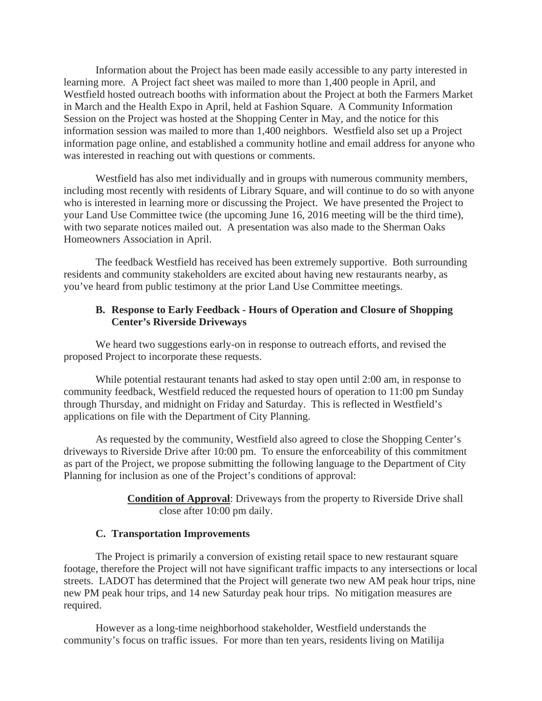Information about the Project has been made easily accessible to any party interested in learning more. A Project fact sheet was mailed to more than 1,400 people in April, and Westfield hosted outreach booths with information about the Project at both the Farmers Market in March and the Health Expo in April, held at Fashion Square. A Community Information Session on the Project was hosted at the Shopping Center in May, and the notice for this information session was mailed to more than 1,400 neighbors. Westfield also set up a Project information page online, and established a community hotline and email address for anyone who was interested in reaching out with questions or comments.

Westfield has also met individually and in groups with numerous community members, including most recently with residents of Library Square, and will continue to do so with anyone who is interested in learning more or discussing the Project. We have presented the Project to your Land Use Committee twice (the upcoming June 16, 2016 meeting will be the third time), with two separate notices mailed out. A presentation was also made to the Sherman Oaks Homeowners Association in April.

The feedback Westfield has received has been extremely supportive. Both surrounding residents and community stakeholders are excited about having new restaurants nearby, as you've heard from public testimony at the prior Land Use Committee meetings.

### **B. Response to Early Feedback - Hours of Operation and Closure of Shopping Center's Riverside Driveways**

We heard two suggestions early-on in response to outreach efforts, and revised the proposed Project to incorporate these requests.

While potential restaurant tenants had asked to stay open until 2:00 am, in response to community feedback, Westfield reduced the requested hours of operation to 11:00 pm Sunday through Thursday, and midnight on Friday and Saturday. This is reflected in Westfield's applications on file with the Department of City Planning.

As requested by the community, Westfield also agreed to close the Shopping Center's driveways to Riverside Drive after 10:00 pm. To ensure the enforceability of this commitment as part of the Project, we propose submitting the following language to the Department of City Planning for inclusion as one of the Project's conditions of approval:

### **Condition of Approval**: Driveways from the property to Riverside Drive shall close after 10:00 pm daily.

#### **C. Transportation Improvements**

The Project is primarily a conversion of existing retail space to new restaurant square footage, therefore the Project will not have significant traffic impacts to any intersections or local streets. LADOT has determined that the Project will generate two new AM peak hour trips, nine new PM peak hour trips, and 14 new Saturday peak hour trips. No mitigation measures are required.

However as a long-time neighborhood stakeholder, Westfield understands the community's focus on traffic issues. For more than ten years, residents living on Matilija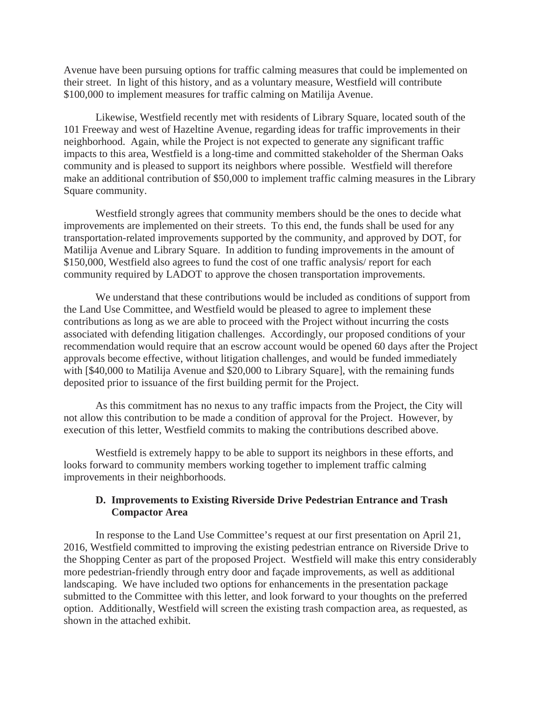Avenue have been pursuing options for traffic calming measures that could be implemented on their street. In light of this history, and as a voluntary measure, Westfield will contribute \$100,000 to implement measures for traffic calming on Matilija Avenue.

Likewise, Westfield recently met with residents of Library Square, located south of the 101 Freeway and west of Hazeltine Avenue, regarding ideas for traffic improvements in their neighborhood. Again, while the Project is not expected to generate any significant traffic impacts to this area, Westfield is a long-time and committed stakeholder of the Sherman Oaks community and is pleased to support its neighbors where possible. Westfield will therefore make an additional contribution of \$50,000 to implement traffic calming measures in the Library Square community.

Westfield strongly agrees that community members should be the ones to decide what improvements are implemented on their streets. To this end, the funds shall be used for any transportation-related improvements supported by the community, and approved by DOT, for Matilija Avenue and Library Square. In addition to funding improvements in the amount of \$150,000, Westfield also agrees to fund the cost of one traffic analysis/ report for each community required by LADOT to approve the chosen transportation improvements.

We understand that these contributions would be included as conditions of support from the Land Use Committee, and Westfield would be pleased to agree to implement these contributions as long as we are able to proceed with the Project without incurring the costs associated with defending litigation challenges. Accordingly, our proposed conditions of your recommendation would require that an escrow account would be opened 60 days after the Project approvals become effective, without litigation challenges, and would be funded immediately with [\$40,000 to Matilija Avenue and \$20,000 to Library Square], with the remaining funds deposited prior to issuance of the first building permit for the Project.

As this commitment has no nexus to any traffic impacts from the Project, the City will not allow this contribution to be made a condition of approval for the Project. However, by execution of this letter, Westfield commits to making the contributions described above.

Westfield is extremely happy to be able to support its neighbors in these efforts, and looks forward to community members working together to implement traffic calming improvements in their neighborhoods.

# **D. Improvements to Existing Riverside Drive Pedestrian Entrance and Trash Compactor Area**

In response to the Land Use Committee's request at our first presentation on April 21, 2016, Westfield committed to improving the existing pedestrian entrance on Riverside Drive to the Shopping Center as part of the proposed Project. Westfield will make this entry considerably more pedestrian-friendly through entry door and façade improvements, as well as additional landscaping. We have included two options for enhancements in the presentation package submitted to the Committee with this letter, and look forward to your thoughts on the preferred option. Additionally, Westfield will screen the existing trash compaction area, as requested, as shown in the attached exhibit.